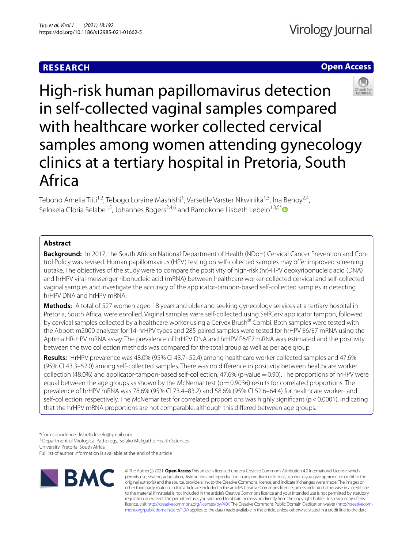# **RESEARCH**

# **Open Access**



High-risk human papillomavirus detection in self-collected vaginal samples compared with healthcare worker collected cervical samples among women attending gynecology clinics at a tertiary hospital in Pretoria, South Africa

Teboho Amelia Tiiti<sup>1,2</sup>, Tebogo Loraine Mashishi<sup>1</sup>, Varsetile Varster Nkwinika<sup>1,3</sup>, Ina Benoy<sup>2,4</sup>, Selokela Gloria Selabe<sup>1,5</sup>, Johannes Bogers<sup>2,4,6</sup> and Ramokone Lisbeth Lebelo<sup>1,3,5[\\*](http://orcid.org/0000-0002-9365-514X)</sup>

# **Abstract**

**Background:** In 2017, the South African National Department of Health (NDoH) Cervical Cancer Prevention and Control Policy was revised. Human papillomavirus (HPV) testing on self-collected samples may ofer improved screening uptake. The objectives of the study were to compare the positivity of high-risk (hr)-HPV deoxyribonucleic acid (DNA) and hrHPV viral messenger ribonucleic acid (mRNA) between healthcare worker-collected cervical and self-collected vaginal samples and investigate the accuracy of the applicator-tampon-based self-collected samples in detecting hrHPV DNA and hrHPV mRNA.

**Methods:** A total of 527 women aged 18 years and older and seeking gynecology services at a tertiary hospital in Pretoria, South Africa, were enrolled. Vaginal samples were self-collected using SelfCerv applicator tampon, followed by cervical samples collected by a healthcare worker using a Cervex Brush® Combi. Both samples were tested with the Abbott m2000 analyzer for 14-hrHPV types and 285 paired samples were tested for hrHPV E6/E7 mRNA using the Aptima HR-HPV mRNA assay. The prevalence of hrHPV DNA and hrHPV E6/E7 mRNA was estimated and the positivity between the two collection methods was compared for the total group as well as per age group.

**Results:** HrHPV prevalence was 48.0% (95% CI 43.7–52.4) among healthcare worker collected samples and 47.6% (95% CI 43.3–52.0) among self-collected samples. There was no diference in positivity between healthcare worker collection (48.0%) and applicator-tampon-based self-collection, 47.6% (p-value=0.90). The proportions of hrHPV were equal between the age groups as shown by the McNemar test ( $p=0.9036$ ) results for correlated proportions. The prevalence of hrHPV mRNA was 78.6% (95% CI 73.4–83.2) and 58.6% (95% CI 52.6–64.4) for healthcare worker- and self-collection, respectively. The McNemar test for correlated proportions was highly significant (p <0.0001), indicating that the hrHPV mRNA proportions are not comparable, although this difered between age groups.

\*Correspondence: lisbeth.lebelo@gmail.com

<sup>1</sup> Department of Virological Pathology, Sefako Makgatho Health Sciences

University, Pretoria, South Africa

Full list of author information is available at the end of the article



© The Author(s) 2021. **Open Access** This article is licensed under a Creative Commons Attribution 4.0 International License, which permits use, sharing, adaptation, distribution and reproduction in any medium or format, as long as you give appropriate credit to the original author(s) and the source, provide a link to the Creative Commons licence, and indicate if changes were made. The images or other third party material in this article are included in the article's Creative Commons licence, unless indicated otherwise in a credit line to the material. If material is not included in the article's Creative Commons licence and your intended use is not permitted by statutory regulation or exceeds the permitted use, you will need to obtain permission directly from the copyright holder. To view a copy of this licence, visit [http://creativecommons.org/licenses/by/4.0/.](http://creativecommons.org/licenses/by/4.0/) The Creative Commons Public Domain Dedication waiver ([http://creativecom](http://creativecommons.org/publicdomain/zero/1.0/)[mons.org/publicdomain/zero/1.0/\)](http://creativecommons.org/publicdomain/zero/1.0/) applies to the data made available in this article, unless otherwise stated in a credit line to the data.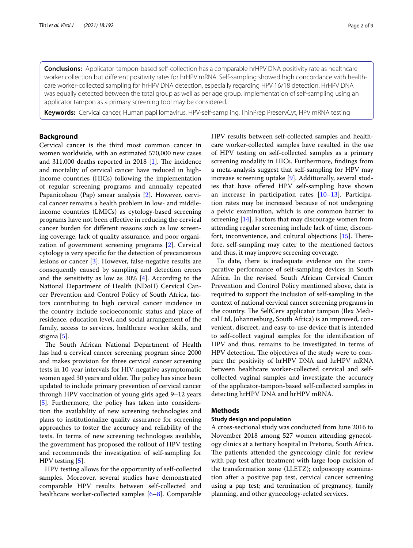**Conclusions:** Applicator-tampon-based self-collection has a comparable hrHPV DNA positivity rate as healthcare worker collection but diferent positivity rates for hrHPV mRNA. Self-sampling showed high concordance with healthcare worker-collected sampling for hrHPV DNA detection, especially regarding HPV 16/18 detection. HrHPV DNA was equally detected between the total group as well as per age group. Implementation of self-sampling using an applicator tampon as a primary screening tool may be considered.

**Keywords:** Cervical cancer, Human papillomavirus, HPV-self-sampling, ThinPrep PreservCyt, HPV mRNA testing

# **Background**

Cervical cancer is the third most common cancer in women worldwide, with an estimated 570,000 new cases and 311,000 deaths reported in 2018  $[1]$  $[1]$ . The incidence and mortality of cervical cancer have reduced in highincome countries (HICs) following the implementation of regular screening programs and annually repeated Papanicolaou (Pap) smear analysis [[2](#page-7-1)]. However, cervical cancer remains a health problem in low- and middleincome countries (LMICs) as cytology-based screening programs have not been efective in reducing the cervical cancer burden for diferent reasons such as low screening coverage, lack of quality assurance, and poor organization of government screening programs [\[2\]](#page-7-1). Cervical cytology is very specifc for the detection of precancerous lesions or cancer [\[3](#page-7-2)]. However, false-negative results are consequently caused by sampling and detection errors and the sensitivity as low as 30% [[4\]](#page-7-3). According to the National Department of Health (NDoH) Cervical Cancer Prevention and Control Policy of South Africa, factors contributing to high cervical cancer incidence in the country include socioeconomic status and place of residence, education level, and social arrangement of the family, access to services, healthcare worker skills, and stigma [\[5](#page-7-4)].

The South African National Department of Health has had a cervical cancer screening program since 2000 and makes provision for three cervical cancer screening tests in 10-year intervals for HIV-negative asymptomatic women aged 30 years and older. The policy has since been updated to include primary prevention of cervical cancer through HPV vaccination of young girls aged 9–12 years [[5\]](#page-7-4). Furthermore, the policy has taken into consideration the availability of new screening technologies and plans to institutionalize quality assurance for screening approaches to foster the accuracy and reliability of the tests. In terms of new screening technologies available, the government has proposed the rollout of HPV testing and recommends the investigation of self-sampling for HPV testing [\[5](#page-7-4)].

HPV testing allows for the opportunity of self-collected samples. Moreover, several studies have demonstrated comparable HPV results between self-collected and healthcare worker-collected samples [\[6](#page-7-5)[–8](#page-7-6)]. Comparable HPV results between self-collected samples and healthcare worker-collected samples have resulted in the use of HPV testing on self-collected samples as a primary screening modality in HICs. Furthermore, fndings from a meta-analysis suggest that self-sampling for HPV may increase screening uptake [[9](#page-7-7)]. Additionally, several studies that have ofered HPV self-sampling have shown an increase in participation rates  $[10-13]$  $[10-13]$ . Participation rates may be increased because of not undergoing a pelvic examination, which is one common barrier to screening [[14\]](#page-7-10). Factors that may discourage women from attending regular screening include lack of time, discomfort, inconvenience, and cultural objections  $[15]$  $[15]$ . Therefore, self-sampling may cater to the mentioned factors and thus, it may improve screening coverage.

To date, there is inadequate evidence on the comparative performance of self-sampling devices in South Africa. In the revised South African Cervical Cancer Prevention and Control Policy mentioned above, data is required to support the inclusion of self-sampling in the context of national cervical cancer screening programs in the country. The SelfCerv applicator tampon (Ilex Medical Ltd, Johannesburg, South Africa) is an improved, convenient, discreet, and easy-to-use device that is intended to self-collect vaginal samples for the identifcation of HPV and thus, remains to be investigated in terms of HPV detection. The objectives of the study were to compare the positivity of hrHPV DNA and hrHPV mRNA between healthcare worker-collected cervical and selfcollected vaginal samples and investigate the accuracy of the applicator-tampon-based self-collected samples in detecting hrHPV DNA and hrHPV mRNA.

# **Methods**

# **Study design and population**

A cross-sectional study was conducted from June 2016 to November 2018 among 527 women attending gynecology clinics at a tertiary hospital in Pretoria, South Africa. The patients attended the gynecology clinic for review with pap test after treatment with large loop excision of the transformation zone (LLETZ); colposcopy examination after a positive pap test, cervical cancer screening using a pap test; and termination of pregnancy, family planning, and other gynecology-related services.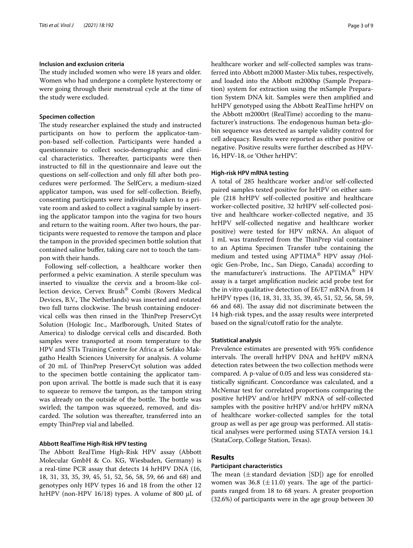# **Inclusion and exclusion criteria**

The study included women who were 18 years and older. Women who had undergone a complete hysterectomy or were going through their menstrual cycle at the time of the study were excluded.

#### **Specimen collection**

The study researcher explained the study and instructed participants on how to perform the applicator-tampon-based self-collection. Participants were handed a questionnaire to collect socio-demographic and clinical characteristics. Thereafter, participants were then instructed to fll in the questionnaire and leave out the questions on self-collection and only fll after both procedures were performed. The SelfCerv, a medium-sized applicator tampon, was used for self-collection. Briefy, consenting participants were individually taken to a private room and asked to collect a vaginal sample by inserting the applicator tampon into the vagina for two hours and return to the waiting room. After two hours, the participants were requested to remove the tampon and place the tampon in the provided specimen bottle solution that contained saline buffer, taking care not to touch the tampon with their hands.

Following self-collection, a healthcare worker then performed a pelvic examination. A sterile speculum was inserted to visualize the cervix and a broom-like collection device, Cervex Brush® Combi (Rovers Medical Devices, B.V., The Netherlands) was inserted and rotated two full turns clockwise. The brush containing endocervical cells was then rinsed in the ThinPrep PreservCyt Solution (Hologic Inc., Marlborough, United States of America) to dislodge cervical cells and discarded. Both samples were transported at room temperature to the HPV and STIs Training Centre for Africa at Sefako Makgatho Health Sciences University for analysis. A volume of 20 mL of TinPrep PreservCyt solution was added to the specimen bottle containing the applicator tampon upon arrival. The bottle is made such that it is easy to squeeze to remove the tampon, as the tampon string was already on the outside of the bottle. The bottle was swirled; the tampon was squeezed, removed, and discarded. The solution was thereafter, transferred into an empty ThinPrep vial and labelled.

# **Abbott RealTime High‑Risk HPV testing**

The Abbott RealTime High-Risk HPV assay (Abbott Molecular GmbH & Co. KG, Wiesbaden, Germany) is a real-time PCR assay that detects 14 hrHPV DNA (16, 18, 31, 33, 35, 39, 45, 51, 52, 56, 58, 59, 66 and 68) and genotypes only HPV types 16 and 18 from the other 12 hrHPV (non-HPV 16/18) types. A volume of 800  $\mu$ L of healthcare worker and self-collected samples was transferred into Abbott m2000 Master-Mix tubes, respectively, and loaded into the Abbott m2000sp (Sample Preparation) system for extraction using the mSample Preparation System DNA kit. Samples were then amplifed and hrHPV genotyped using the Abbott RealTime hrHPV on the Abbott m2000rt (RealTime) according to the manufacturer's instructions. The endogenous human beta-globin sequence was detected as sample validity control for cell adequacy. Results were reported as either positive or negative. Positive results were further described as HPV-16, HPV-18, or 'Other hrHPV'.

# **High‑risk HPV mRNA testing**

A total of 285 healthcare worker and/or self-collected paired samples tested positive for hrHPV on either sample (218 hrHPV self-collected positive and healthcare worker-collected positive, 32 hrHPV self-collected positive and healthcare worker-collected negative, and 35 hrHPV self-collected negative and healthcare worker positive) were tested for HPV mRNA. An aliquot of 1 mL was transferred from the TinPrep vial container to an Aptima Specimen Transfer tube containing the medium and tested using APTIMA® HPV assay *(*Hologic Gen-Probe, Inc., San Diego, Canada) according to the manufacturer's instructions. The APTIMA<sup>®</sup> HPV assay is a target amplifcation nucleic acid probe test for the in vitro qualitative detection of E6/E7 mRNA from 14 hrHPV types (16, 18, 31, 33, 35, 39, 45, 51, 52, 56, 58, 59, 66 and 68). The assay did not discriminate between the 14 high-risk types, and the assay results were interpreted based on the signal/cutoff ratio for the analyte.

# **Statistical analysis**

Prevalence estimates are presented with 95% confdence intervals. The overall hrHPV DNA and hrHPV mRNA detection rates between the two collection methods were compared. A p-value of 0.05 and less was considered statistically signifcant. Concordance was calculated, and a McNemar test for correlated proportions comparing the positive hrHPV and/or hrHPV mRNA of self-collected samples with the positive hrHPV and/or hrHPV mRNA of healthcare worker-collected samples for the total group as well as per age group was performed. All statistical analyses were performed using STATA version 14.1 (StataCorp, College Station, Texas).

# **Results**

## **Participant characteristics**

The mean  $(\pm$  standard deviation [SD]) age for enrolled women was 36.8 ( $\pm$ 11.0) years. The age of the participants ranged from 18 to 68 years. A greater proportion (32.6%) of participants were in the age group between 30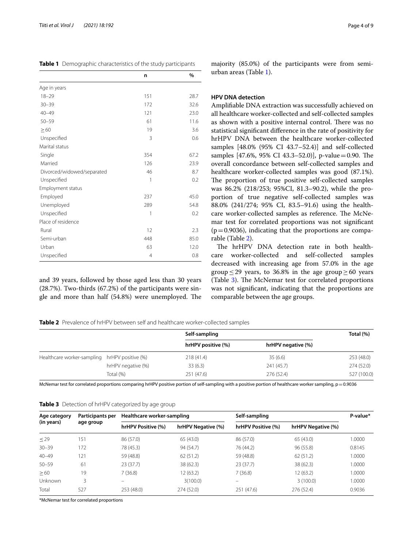<span id="page-3-0"></span>

| Table 1 Demographic characteristics of the study participants |  |
|---------------------------------------------------------------|--|
|---------------------------------------------------------------|--|

|                            | n              | %    |
|----------------------------|----------------|------|
| Age in years               |                |      |
| $18 - 29$                  | 151            | 28.7 |
| $30 - 39$                  | 172            | 32.6 |
| $40 - 49$                  | 121            | 23.0 |
| $50 - 59$                  | 61             | 11.6 |
| $\geq 60$                  | 19             | 3.6  |
| Unspecified                | 3              | 0.6  |
| Marital status             |                |      |
| Single                     | 354            | 67.2 |
| Married                    | 126            | 23.9 |
| Divorced/widowed/separated | 46             | 8.7  |
| Unspecified                | 1              | 0.2  |
| Employment status          |                |      |
| Employed                   | 237            | 45.0 |
| Unemployed                 | 289            | 54.8 |
| Unspecified                | 1              | 0.2  |
| Place of residence         |                |      |
| Rural                      | 12             | 2.3  |
| Semi-urban                 | 448            | 85.0 |
| Urban                      | 63             | 12.0 |
| Unspecified                | $\overline{4}$ | 0.8  |

and 39 years, followed by those aged less than 30 years (28.7%). Two-thirds (67.2%) of the participants were single and more than half  $(54.8%)$  were unemployed. The majority (85.0%) of the participants were from semiurban areas (Table [1](#page-3-0)).

# **HPV DNA detection**

Amplifable DNA extraction was successfully achieved on all healthcare worker-collected and self-collected samples as shown with a positive internal control. There was no statistical signifcant diference in the rate of positivity for hrHPV DNA between the healthcare worker-collected samples [48.0% (95% CI 43.7–52.4)] and self-collected samples [47.6%, 95% CI 43.3–52.0]], p-value=0.90. The overall concordance between self-collected samples and healthcare worker-collected samples was good (87.1%). The proportion of true positive self-collected samples was 86.2% (218/253; 95%CI, 81.3–90.2), while the proportion of true negative self-collected samples was 88.0% (241/274; 95% CI, 83.5–91.6) using the healthcare worker-collected samples as reference. The McNemar test for correlated proportions was not signifcant  $(p=0.9036)$ , indicating that the proportions are comparable (Table [2](#page-3-1)).

The hrHPV DNA detection rate in both healthcare worker-collected and self-collected samples decreased with increasing age from 57.0% in the age group  $\leq$  29 years, to 36.8% in the age group  $\geq$  60 years (Table [3\)](#page-3-2). The McNemar test for correlated proportions was not signifcant, indicating that the proportions are comparable between the age groups.

<span id="page-3-1"></span>**Table 2** Prevalence of hrHPV between self and healthcare worker-collected samples

|                                               |                    | Self-sampling      |                    | Total (%)   |
|-----------------------------------------------|--------------------|--------------------|--------------------|-------------|
|                                               |                    | hrHPV positive (%) | hrHPV negative (%) |             |
| Healthcare worker-sampling hrHPV positive (%) |                    | 218(41.4)          | 35(6.6)            | 253 (48.0)  |
|                                               | hrHPV negative (%) | 33(6.3)            | 241 (45.7)         | 274 (52.0)  |
|                                               | Total (%)          | 251 (47.6)         | 276 (52.4)         | 527 (100.0) |

McNemar test for correlated proportions comparing hrHPV positive portion of self-sampling with a positive portion of healthcare worker sampling, p=0.9036

<span id="page-3-2"></span>

|  |  | Table 3 Detection of hrHPV categorized by age group |
|--|--|-----------------------------------------------------|
|  |  |                                                     |

| Participants per<br>Age category<br>(in years)<br>age group | Healthcare worker-sampling |                    | Self-sampling      |                    | P-value*           |        |
|-------------------------------------------------------------|----------------------------|--------------------|--------------------|--------------------|--------------------|--------|
|                                                             |                            | hrHPV Positive (%) | hrHPV Negative (%) | hrHPV Positive (%) | hrHPV Negative (%) |        |
| $\leq$ 29                                                   | 151                        | 86 (57.0)          | 65(43.0)           | 86 (57.0)          | 65(43.0)           | 1.0000 |
| $30 - 39$                                                   | 172                        | 78 (45.3)          | 94 (54.7)          | 76 (44.2)          | 96(55.8)           | 0.8145 |
| $40 - 49$                                                   | 121                        | 59 (48.8)          | 62(51.2)           | 59 (48.8)          | 62(51.2)           | 1.0000 |
| $50 - 59$                                                   | 61                         | 23(37.7)           | 38(62.3)           | 23(37.7)           | 38(62.3)           | 1.0000 |
| $\geq 60$                                                   | 19                         | 7(36.8)            | 12(63.2)           | 7(36.8)            | 12 (63.2)          | 1.0000 |
| Unknown                                                     | 3                          |                    | 3(100.0)           | -                  | 3(100.0)           | 1.0000 |
| Total                                                       | 527                        | 253 (48.0)         | 274 (52.0)         | 251 (47.6)         | 276 (52.4)         | 0.9036 |

\*McNemar test for correlated proportions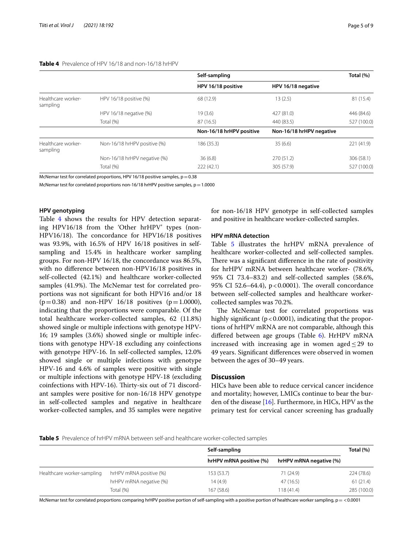# <span id="page-4-0"></span>**Table 4** Prevalence of HPV 16/18 and non-16/18 hrHPV

|                              | Self-sampling            |                          | Total (%)   |  |
|------------------------------|--------------------------|--------------------------|-------------|--|
|                              | HPV 16/18 positive       | HPV 16/18 negative       |             |  |
| HPV 16/18 positive (%)       | 68 (12.9)                | 13(2.5)                  | 81 (15.4)   |  |
| HPV 16/18 negative (%)       | 19(3.6)                  | 427 (81.0)               | 446 (84.6)  |  |
| Total (%)                    | 87 (16.5)                | 440 (83.5)               | 527 (100.0) |  |
|                              | Non-16/18 hrHPV positive | Non-16/18 hrHPV negative |             |  |
| Non-16/18 hrHPV positive (%) | 186 (35.3)               | 35(6.6)                  | 221 (41.9)  |  |
| Non-16/18 hrHPV negative (%) | 36(6.8)                  | 270(51.2)                | 306 (58.1)  |  |
| Total (%)                    | 222(42.1)                | 305 (57.9)               | 527 (100.0) |  |
|                              |                          |                          |             |  |

McNemar test for correlated proportions, HPV 16/18 positive samples,  $p=0.38$ 

McNemar test for correlated proportions non-16/18 hrHPV positive samples,  $p=1.0000$ 

# **HPV genotyping**

Table [4](#page-4-0) shows the results for HPV detection separating HPV16/18 from the 'Other hrHPV' types (non-HPV16/18). The concordance for HPV16/18 positives was 93.9%, with 16.5% of HPV 16/18 positives in selfsampling and 15.4% in healthcare worker sampling groups. For non-HPV 16/18, the concordance was 86.5%, with no diference between non-HPV16/18 positives in self-collected (42.1%) and healthcare worker-collected samples (41.9%). The McNemar test for correlated proportions was not signifcant for both HPV16 and/or 18 ( $p=0.38$ ) and non-HPV 16/18 positives ( $p=1.0000$ ), indicating that the proportions were comparable. Of the total healthcare worker-collected samples, 62 (11.8%) showed single or multiple infections with genotype HPV-16; 19 samples (3.6%) showed single or multiple infections with genotype HPV-18 excluding any coinfections with genotype HPV-16. In self-collected samples, 12.0% showed single or multiple infections with genotype HPV-16 and 4.6% of samples were positive with single or multiple infections with genotype HPV-18 (excluding coinfections with HPV-16). Thirty-six out of 71 discordant samples were positive for non-16/18 HPV genotype in self-collected samples and negative in healthcare worker-collected samples, and 35 samples were negative for non-16/18 HPV genotype in self-collected samples and positive in healthcare worker-collected samples.

#### **HPV mRNA detection**

Table [5](#page-4-1) illustrates the hrHPV mRNA prevalence of healthcare worker-collected and self-collected samples. There was a significant difference in the rate of positivity for hrHPV mRNA between healthcare worker- (78.6%, 95% CI 73.4–83.2) and self-collected samples (58.6%, 95% CI 52.6–64.4),  $p < 0.0001$ ). The overall concordance between self-collected samples and healthcare workercollected samples was 70.2%.

The McNemar test for correlated proportions was highly significant ( $p < 0.0001$ ), indicating that the proportions of hrHPV mRNA are not comparable, although this differed between age groups (Table [6](#page-5-0)). HrHPV mRNA increased with increasing age in women aged  $\leq$  29 to 49 years. Signifcant diferences were observed in women between the ages of 30–49 years.

# **Discussion**

HICs have been able to reduce cervical cancer incidence and mortality; however, LMICs continue to bear the burden of the disease  $[16]$ . Furthermore, in HICs, HPV as the primary test for cervical cancer screening has gradually

## <span id="page-4-1"></span>**Table 5** Prevalence of hrHPV mRNA between self-and healthcare worker-collected samples

|                            |                         | Self-sampling           |                         | Total (%)   |
|----------------------------|-------------------------|-------------------------|-------------------------|-------------|
|                            |                         | hrHPV mRNA positive (%) | hrHPV mRNA negative (%) |             |
| Healthcare worker-sampling | hrHPV mRNA positive (%) | 153 (53.7)              | 71 (24.9)               | 224(78.6)   |
|                            | hrHPV mRNA negative (%) | 14(4.9)                 | 47 (16.5)               | 61(21.4)    |
|                            | Total (%)               | 167(58.6)               | 118 (41.4)              | 285 (100.0) |

McNemar test for correlated proportions comparing hrHPV positive portion of self-sampling with a positive portion of healthcare worker sampling,  $p = < 0.0001$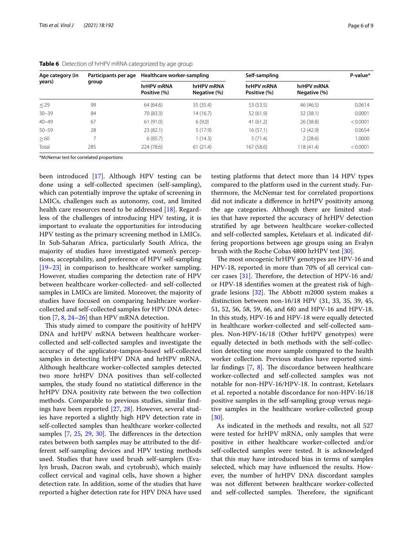| Age category (in<br>years) | Participants per age<br>group | Healthcare worker-sampling |                            | Self-sampling              |                            | P-value* |
|----------------------------|-------------------------------|----------------------------|----------------------------|----------------------------|----------------------------|----------|
|                            |                               | hrHPV mRNA<br>Positive (%) | hrHPV mRNA<br>Negative (%) | hrHPV mRNA<br>Positive (%) | hrHPV mRNA<br>Negative (%) |          |
| $\leq$ 29                  | 99                            | 64 (64.6)                  | 35 (35.4)                  | 53 (53.5)                  | 46 (46.5)                  | 0.0614   |
| $30 - 39$                  | 84                            | 70 (83.3)                  | 14 (16.7)                  | 52 (61.9)                  | 32 (38.1)                  | 0.0001   |
| $40 - 49$                  | 67                            | 61(91.0)                   | 6(9.0)                     | 41(61.2)                   | 26 (38.8)                  | < 0.0001 |
| $50 - 59$                  | 28                            | 23(82.1)                   | 5(17.9)                    | 16(57.1)                   | 12 (42.9)                  | 0.0654   |
| $\geq 60$                  |                               | 6(85.7)                    | 1(14.3)                    | 5(71.4)                    | 2(28.6)                    | 1.0000   |
| Total                      | 285                           | 224(78.6)                  | 61(21.4)                   | 167 (58.6)                 | 118(41.4)                  | < 0.0001 |

#### <span id="page-5-0"></span>**Table 6** Detection of hrHPV mRNA categorized by age group

\*McNemar test for correlated proportions

been introduced [\[17\]](#page-7-13). Although HPV testing can be done using a self-collected specimen (self-sampling), which can potentially improve the uptake of screening in LMICs, challenges such as autonomy, cost, and limited health care resources need to be addressed [\[18\]](#page-7-14). Regardless of the challenges of introducing HPV testing, it is important to evaluate the opportunities for introducing HPV testing as the primary screening method in LMICs. In Sub-Saharan Africa, particularly South Africa, the majority of studies have investigated women's perceptions, acceptability, and preference of HPV self-sampling [[19–](#page-7-15)[23](#page-7-16)] in comparison to healthcare worker sampling. However, studies comparing the detection rate of HPV between healthcare worker-collected- and self-collected samples in LMICs are limited. Moreover, the majority of studies have focused on comparing healthcare workercollected and self-collected samples for HPV DNA detection [[7,](#page-7-17) [8](#page-7-6), [24](#page-7-18)[–26](#page-7-19)] than HPV mRNA detection.

This study aimed to compare the positivity of hrHPV DNA and hrHPV mRNA between healthcare workercollected and self-collected samples and investigate the accuracy of the applicator-tampon-based self-collected samples in detecting hrHPV DNA and hrHPV mRNA. Although healthcare worker-collected samples detected two more hrHPV DNA positives than self-collected samples, the study found no statistical diference in the hrHPV DNA positivity rate between the two collection methods. Comparable to previous studies, similar fndings have been reported [\[27,](#page-7-20) [28\]](#page-7-21). However, several studies have reported a slightly high HPV detection rate in self-collected samples than healthcare worker-collected samples  $[7, 25, 29, 30]$  $[7, 25, 29, 30]$  $[7, 25, 29, 30]$  $[7, 25, 29, 30]$  $[7, 25, 29, 30]$  $[7, 25, 29, 30]$  $[7, 25, 29, 30]$ . The differences in the detection rates between both samples may be attributed to the different self-sampling devices and HPV testing methods used. Studies that have used brush self-samplers (Evalyn brush, Dacron swab, and cytobrush), which mainly collect cervical and vaginal cells, have shown a higher detection rate. In addition, some of the studies that have reported a higher detection rate for HPV DNA have used testing platforms that detect more than 14 HPV types compared to the platform used in the current study. Furthermore, the McNemar test for correlated proportions did not indicate a diference in hrHPV positivity among the age categories. Although there are limited studies that have reported the accuracy of hrHPV detection stratifed by age between healthcare worker-collected and self-collected samples, Ketelaars et al. indicated differing proportions between age groups using an Evalyn brush with the Roche Cobas 4800 hrHPV test [[30\]](#page-8-0).

The most oncogenic hrHPV genotypes are HPV-16 and HPV-18, reported in more than 70% of all cervical can-cer cases [[31\]](#page-8-1). Therefore, the detection of HPV-16 and/ or HPV-18 identifes women at the greatest risk of highgrade lesions  $[32]$ . The Abbott m2000 system makes a distinction between non-16/18 HPV (31, 33, 35, 39, 45, 51, 52, 56, 58, 59, 66, and 68) and HPV-16 and HPV-18. In this study, HPV-16 and HPV-18 were equally detected in healthcare worker-collected and self-collected samples. Non-HPV-16/18 (Other hrHPV genotypes) were equally detected in both methods with the self-collection detecting one more sample compared to the health worker collection. Previous studies have reported similar findings  $[7, 8]$  $[7, 8]$  $[7, 8]$  $[7, 8]$ . The discordance between healthcare worker-collected and self-collected samples was not notable for non-HPV-16/HPV-18. In contrast, Ketelaars et al. reported a notable discordance for non-HPV-16/18 positive samples in the self-sampling group versus negative samples in the healthcare worker-collected group [[30\]](#page-8-0).

As indicated in the methods and results, not all 527 were tested for hrHPV mRNA, only samples that were positive in either healthcare worker-collected and/or self-collected samples were tested. It is acknowledged that this may have introduced bias in terms of samples selected, which may have infuenced the results. However, the number of hrHPV DNA discordant samples was not diferent between healthcare worker-collected and self-collected samples. Therefore, the significant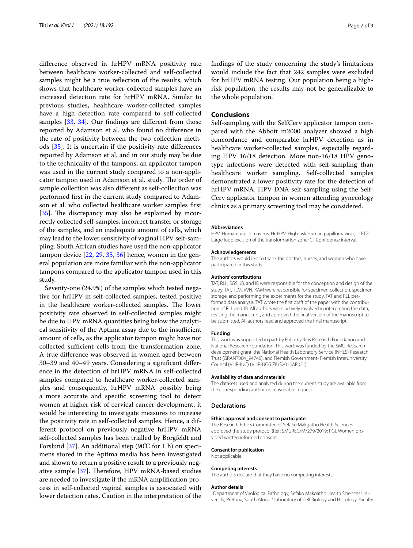diference observed in hrHPV mRNA positivity rate between healthcare worker-collected and self-collected samples might be a true refection of the results, which shows that healthcare worker-collected samples have an increased detection rate for hrHPV mRNA. Similar to previous studies, healthcare worker-collected samples have a high detection rate compared to self-collected samples [\[33](#page-8-3), [34](#page-8-4)]. Our findings are different from those reported by Adamson et al. who found no diference in the rate of positivity between the two collection methods [[35\]](#page-8-5). It is uncertain if the positivity rate diferences reported by Adamson et al. and in our study may be due to the technicality of the tampons, an applicator tampon was used in the current study compared to a non-applicator tampon used in Adamson et al. study. The order of sample collection was also diferent as self-collection was performed frst in the current study compared to Adamson et al. who collected healthcare worker samples frst  $[35]$  $[35]$ . The discrepancy may also be explained by incorrectly collected self-samples, incorrect transfer or storage of the samples, and an inadequate amount of cells, which may lead to the lower sensitivity of vaginal HPV self-sampling. South African studies have used the non-applicator tampon device  $[22, 29, 35, 36]$  $[22, 29, 35, 36]$  $[22, 29, 35, 36]$  $[22, 29, 35, 36]$  $[22, 29, 35, 36]$  $[22, 29, 35, 36]$  $[22, 29, 35, 36]$  hence, women in the general population are more familiar with the non-applicator tampons compared to the applicator tampon used in this study.

Seventy-one (24.9%) of the samples which tested negative for hrHPV in self-collected samples, tested positive in the healthcare worker-collected samples. The lower positivity rate observed in self-collected samples might be due to HPV mRNA quantities being below the analytical sensitivity of the Aptima assay due to the insufficient amount of cells, as the applicator tampon might have not collected sufficient cells from the transformation zone. A true diference was observed in women aged between 30–39 and 40–49 years. Considering a signifcant diference in the detection of hrHPV mRNA in self-collected samples compared to healthcare worker-collected samples and consequently, hrHPV mRNA possibly being a more accurate and specifc screening tool to detect women at higher risk of cervical cancer development, it would be interesting to investigate measures to increase the positivity rate in self-collected samples. Hence, a different protocol on previously negative hrHPV mRNA self-collected samples has been trialled by Borgfeldt and Forslund [[37\]](#page-8-7). An additional step (90℃ for 1 h) on specimens stored in the Aptima media has been investigated and shown to return a positive result to a previously negative sample  $[37]$  $[37]$ . Therefore, HPV mRNA-based studies are needed to investigate if the mRNA amplifcation process in self-collected vaginal samples is associated with lower detection rates. Caution in the interpretation of the fndings of the study concerning the study's limitations would include the fact that 242 samples were excluded for hrHPV mRNA testing. Our population being a highrisk population, the results may not be generalizable to the whole population.

## **Conclusions**

Self-sampling with the SelfCerv applicator tampon compared with the Abbott m2000 analyzer showed a high concordance and comparable hrHPV detection as in healthcare worker-collected samples, especially regarding HPV 16/18 detection. More non-16/18 HPV genotype infections were detected with self-sampling than healthcare worker sampling. Self-collected samples demonstrated a lower positivity rate for the detection of hrHPV mRNA. HPV DNA self-sampling using the Self-Cerv applicator tampon in women attending gynecology clinics as a primary screening tool may be considered.

#### **Abbreviations**

HPV: Human papillomavirus; Hr-HPV: High-risk Human papillomavirus; LLETZ: Large loop excision of the transformation zone; CI: Confdence interval.

#### **Acknowledgements**

The authors would like to thank the doctors, nurses, and women who have participated in this study.

#### **Authors' contributions**

TAT, RLL, SGS, JB, and IB were responsible for the conception and design of the study. TAT, TLM, VVN, KAM were responsible for specimen collection, specimen storage, and performing the experiments for the study. TAT and RLL performed data analysis. TAT wrote the frst draft of the paper with the contribution of RLL and JB. All authors were actively involved in interpreting the data, revising the manuscript, and approved the fnal version of the manuscript to be submitted. All authors read and approved the fnal manuscript.

#### **Funding**

This work was supported in part by Poliomyelitis Research Foundation and National Research Foundation. This work was funded by the SMU Research development grant, the National Health Laboratory Service (NHLS) Research Trust (GRANT004\_94740), and Flemish Government- Flemish Interuniversity Council (VLIR-IUC) (VLIR-UOS ZIUS2015AP021).

#### **Availability of data and materials**

The datasets used and analyzed during the current study are available from the corresponding author on reasonable request.

#### **Declarations**

#### **Ethics approval and consent to participate**

The Research Ethics Committee of Sefako Makgatho Health Sciences approved the study protocol (Ref: SMUREC/M/279/2019: PG). Women provided written informed consent.

#### **Consent for publication**

Not applicable.

#### **Competing interests**

The authors declare that they have no competing interests.

#### **Author details**

<sup>1</sup> Department of Virological Pathology, Sefako Makgatho Health Sciences University, Pretoria, South Africa. <sup>2</sup> Laboratory of Cell Biology and Histology, Faculty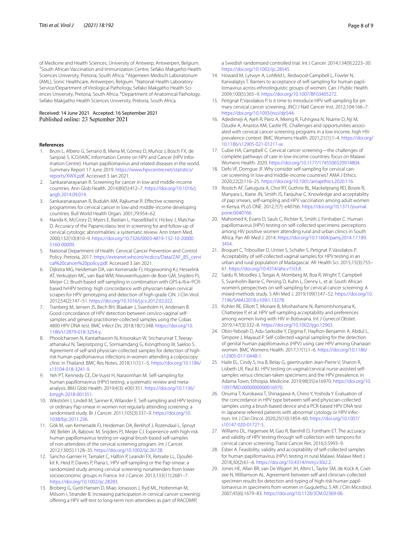of Medicine and Health Sciences, University of Antwerp, Antwerpen, Belgium. 3 <sup>3</sup> South African Vaccination and Immunization Centre, Sefako Makgatho Health Sciences University, Pretoria, South Africa. <sup>4</sup> Algemeen Medisch Laboratorium (AML), Sonic Healthcare, Antwerpen, Belgium. <sup>5</sup>National Health Laboratory Service/Department of Virological Pathology, Sefako Makgatho Health Sciences University, Pretoria, South Africa. <sup>6</sup>Department of Anatomical Pathology, Sefako Makgatho Health Sciences University, Pretoria, South Africa.

# Received: 14 June 2021 Accepted: 16 September 2021

#### **References**

- <span id="page-7-0"></span>1. Bruni L, Albero G, Serrano B, Mena M, Gómez D, Muñoz J, Bosch FX, de Sanjosé S. ICO/IARC Information Centre on HPV and Cancer (HPV Information Centre). Human papillomavirus and related diseases in the world. Summary Report 17 June 2019. [https://www.hpvcentre.net/statistics/](https://www.hpvcentre.net/statistics/reports/XWX.pdf) [reports/XWX.pdf](https://www.hpvcentre.net/statistics/reports/XWX.pdf). Accessed 3 Jan 2021.
- <span id="page-7-1"></span>2. Sankaranarayanan R. Screening for cancer in low-and middle-income countries. Ann Glob Health. 2014;80(5):412–7. [https://doi.org/10.1016/j.](https://doi.org/10.1016/j.aogh.2014.09.014) [aogh.2014.09.014](https://doi.org/10.1016/j.aogh.2014.09.014).
- <span id="page-7-2"></span>3. Sankaranarayanan R, Budukh AM, Rajkumar R. Efective screening programmes for cervical cancer in low-and middle-income developing countries. Bull World Health Organ. 2001;79:954–62.
- <span id="page-7-3"></span>4. Nanda K, McCrory D, Myers E, Bastian L, Hasselblad V, Hickey J, Matchar D. Accuracy of the Papanicolaou test in screening for and follow-up of cervical cytologic abnormalities: a systematic review. Ann Intern Med. 2000;132(10):810–9. [https://doi.org/10.7326/0003-4819-132-10-20000](https://doi.org/10.7326/0003-4819-132-10-200005160-00009) [5160-00009.](https://doi.org/10.7326/0003-4819-132-10-200005160-00009)
- <span id="page-7-4"></span>5. National Department of Health. Cervical Cancer Prevention and Control Policy. Pretoria, 2017. [https://extranet.who.int/ncdccs/Data/ZAF\\_B5\\_cervi](https://extranet.who.int/ncdccs/Data/ZAF_B5_cervical%20cancer%20policy.pdf) [cal%20cancer%20policy.pdf.](https://extranet.who.int/ncdccs/Data/ZAF_B5_cervical%20cancer%20policy.pdf) Accessed 3 Jan 2021.
- <span id="page-7-5"></span>6. Dijkstra MG, Heideman DA, van Kemenade FJ, Hogewoning KJ, Hesselink AT, Verkuijten MC, van Baal WM, Nieuwenhuyzen-de Boer GM, Snijders PJ, Meijer CJ. Brush-based self-sampling in combination with GP5+/6+-PCRbased hrHPV testing: high concordance with physician-taken cervical scrapes for HPV genotyping and detection of high-grade CIN. J Clin Virol. 2012;54(2):147–51. [https://doi.org/10.1016/j.jcv.2012.02.022.](https://doi.org/10.1016/j.jcv.2012.02.022)
- <span id="page-7-17"></span>7. Tranberg M, Jensen JS, Bech BH, Blaakær J, Svanholm H, Andersen B. Good concordance of HPV detection between cervico-vaginal selfsamples and general practitioner-collected samples using the Cobas 4800 HPV DNA test. BMC Infect Dis. 2018;18(1):348. [https://doi.org/10.](https://doi.org/10.1186/s12879-018-3254-y) [1186/s12879-018-3254-y](https://doi.org/10.1186/s12879-018-3254-y).
- <span id="page-7-6"></span>8. Phoolcharoen N, Kantathavorn N, Krisorakun W, Sricharunrat T, Teerayathanakul N, Taepisitpong C, Sornsamdang G, Krongthong W, Saeloo S. Agreement of self-and physician-collected samples for detection of highrisk human papillomavirus infections in women attending a colposcopy clinic in Thailand. BMC Res Notes. 2018;11(1):1–5. [https://doi.org/10.1186/](https://doi.org/10.1186/s13104-018-3241-9) [s13104-018-3241-9.](https://doi.org/10.1186/s13104-018-3241-9)
- <span id="page-7-7"></span>9. Yeh PT, Kennedy CE, De Vuyst H, Narasimhan M. Self-sampling for human papillomavirus (HPV) testing: a systematic review and metaanalysis. BMJ Glob Health. 2019;4(3): e001351. [https://doi.org/10.1136/](https://doi.org/10.1136/bmjgh-2018-001351) [bmjgh-2018-001351.](https://doi.org/10.1136/bmjgh-2018-001351)
- <span id="page-7-8"></span>10. Wikström I, Lindell M, Sanner K, Wilander E. Self-sampling and HPV testing or ordinary Pap-smear in women not regularly attending screening: a randomised study. Br J Cancer. 2011;105(3):337–9. [https://doi.org/10.](https://doi.org/10.1038/bjc.2011.236) [1038/bjc.2011.236](https://doi.org/10.1038/bjc.2011.236).
- 11. Gök M, van Kemenade FJ, Heideman DA, Berkhof J, Rozendaal L, Spruyt JW, Beliën JA, Babovic M, Snijders PJ, Meijer CJ. Experience with high-risk human papillomavirus testing on vaginal brush-based self-samples of non-attendees of the cervical screening program. Int J Cancer. 2012;130(5):1128–35.<https://doi.org/10.1002/ijc.26128>.
- 12. Sancho-Garnier H, Tamalet C, Halfon P, Leandri FX, Retraite LL, Djoufelkit K, Heid P, Davies P, Piana L. HPV self-sampling or the Pap-smear: a randomized study among cervical screening nonattenders from lower socioeconomic groups in France. Int J Cancer. 2013;133(11):2681–7. [https://doi.org/10.1002/ijc.28283.](https://doi.org/10.1002/ijc.28283)
- <span id="page-7-9"></span>13. Broberg G, Gyrd-Hansen D, Miao Jonasson J, Ryd ML, Holtenman M, Milsom I, Strander B. Increasing participation in cervical cancer screening: ofering a HPV self-test to long-term non-attendees as part of RACOMIP,

a Swedish randomized controlled trial. Int J Cancer. 2014;134(9):2223–30. [https://doi.org/10.1002/ijc.28545.](https://doi.org/10.1002/ijc.28545)

- <span id="page-7-10"></span>14. Howard M, Lytwyn A, Lohfeld L, Redwood-Campbell L, Fowler N, Karwalajtys T. Barriers to acceptance of self-sampling for human papillomavirus across ethnolinguistic groups of women. Can J Public Health. 2009;100(5):365–9. <https://doi.org/10.1007/BF03405272>.
- <span id="page-7-11"></span>15. Petignat P, Vassilakos P. Is it time to introduce HPV self-sampling for primary cervical cancer screening. JNCI J Natl Cancer Inst. 2012;104:166–7. [https://doi.org/10.1093/jnci/djr544.](https://doi.org/10.1093/jnci/djr544)
- <span id="page-7-12"></span>16. Adedimeji A, Ajeh R, Pierz A, Nkeng R, Fuhngwa N, Nsame D, Nji M, Dzudie A, Anastos KM, Castle PE. Challenges and opportunities associated with cervical cancer screening programs in a low income, high HIV prevalence context. BMC Womens Health. 2021;21(1):1–4. [https://doi.org/](https://doi.org/10.1186/s12905-021-01211-w) [10.1186/s12905-021-01211-w.](https://doi.org/10.1186/s12905-021-01211-w)
- <span id="page-7-13"></span>17. Cubie HA, Campbell C. Cervical cancer screening—the challenges of complete pathways of care in low-income countries: focus on Malawi. Womens Health. 2020. [https://doi.org/10.1177/1745506520914804.](https://doi.org/10.1177/1745506520914804)
- <span id="page-7-14"></span>18. Defo VF, Domgue JF. Why consider self-sampling for cervical cancer screening in low-and middle-income countries? AMA J Ethics. 2020;22(2):116–25. <https://doi.org/10.1001/amajethics.2020.116>.
- <span id="page-7-15"></span>19. Rositch AF, Gatuguta A, Choi RY, Guthrie BL, Mackelprang RD, Bosire R, Manyara L, Kiarie JN, Smith JS, Farquhar C. Knowledge and acceptability of pap smears, self-sampling and HPV vaccination among adult women in Kenya. PLoS ONE. 2012;7(7): e40766. [https://doi.org/10.1371/journal.](https://doi.org/10.1371/journal.pone.0040766) [pone.0040766](https://doi.org/10.1371/journal.pone.0040766).
- 20. Mahomed K, Evans D, Sauls C, Richter K, Smith J, Firnhaber C. Human papillomavirus (HPV) testing on self-collected specimens: perceptions among HIV positive women attending rural and urban clinics in South Africa. Pan Afr Med J. 2014. [https://doi.org/10.11604/pamj.2014.17.189.](https://doi.org/10.11604/pamj.2014.17.189.3454) [3454](https://doi.org/10.11604/pamj.2014.17.189.3454).
- 21. Broquet C, Triboullier D, Untiet S, Schafer S, Petignat P, Vassilakos P. Acceptability of self-collected vaginal samples for HPV testing in an urban and rural population of Madagascar. Afr Health Sci. 2015;15(3):755– 61. <https://doi.org/10.4314/ahs.v15i3.8>.
- <span id="page-7-24"></span>22. Saidu R, Moodley J, Tergas A, Momberg M, Boa R, Wright T, Campbell S, Svanholm-Barrie C, Persing D, Kuhn L, Denny L, et al. South African women's perspectives on self-sampling for cervical cancer screening: A mixed-methods study. S Afri Med J. 2019;109(1):47–52. [https://doi.org/10.](https://doi.org/10.7196/SAMJ.2018.v109i1.13278) [7196/SAMJ.2018.v109i1.13278.](https://doi.org/10.7196/SAMJ.2018.v109i1.13278)
- <span id="page-7-16"></span>23. Kohler RE, Elliott T, Monare B, Moshashane N, Ramontshonyana K, Chatterjee P, et al. HPV self-sampling acceptability and preferences among women living with HIV in Botswana. Int J Gynecol Obstet. 2019;147(3):332–8. <https://doi.org/10.1002/ijgo.12963>.
- <span id="page-7-18"></span>24. Obiri-Yeboah D, Adu-Sarkodie Y, Djigma F, Hayfron-Benjamin A, Abdul L, Simpore J, Mayaud P. Self-collected vaginal sampling for the detection of genital human papillomavirus (HPV) using care HPV among Ghanaian women. BMC Womens Health. 2017;17(1):1–6. [https://doi.org/10.1186/](https://doi.org/10.1186/s12905-017-0448-1) [s12905-017-0448-1.](https://doi.org/10.1186/s12905-017-0448-1)
- <span id="page-7-22"></span>25. Haile EL, Cindy S, Ina B, Belay G, geertruyden Jean-Pierre V, Sharon R, Lisbeth LR, Paul BJ. HPV testing on vaginal/cervical nurse-assisted selfsamples versus clinician-taken specimens and the HPV prevalence, in Adama Town, Ethiopia. Medicine. 2019;98(35):e16970. [https://doi.org/10.](https://doi.org/10.1097/MD.0000000000016970) [1097/MD.0000000000016970](https://doi.org/10.1097/MD.0000000000016970).
- <span id="page-7-19"></span>26. Onuma T, Kurokawa T, Shinagawa A, Chino Y, Yoshida Y. Evaluation of the concordance in HPV type between self-and physician-collected samples using a brush-based device and a PCR-based HPV DNA test in Japanese referred patients with abnormal cytology or HPV infection. Int J Clin Oncol. 2020;25(10):1854–60. [https://doi.org/10.1007/](https://doi.org/10.1007/s10147-020-01727-5) [s10147-020-01727-5](https://doi.org/10.1007/s10147-020-01727-5).
- <span id="page-7-20"></span>27. Williams DL, Hagensee M, Gao R, Barnhill D, Fontham ET. The accuracy and validity of HPV testing through self-collection with tampons for cervical cancer screening. Transl Cancer Res. 2016;5:S993–9.
- <span id="page-7-21"></span>28. Esber A. Feasibility, validity and acceptability of self-collected samples for human papillomavirus (HPV) testing in rural Malawi. Malawi Med J. 2018;30(2):61–6. <https://doi.org/10.4314/mmj.v30i2.2>.
- <span id="page-7-23"></span>29. Jones HE, Allan BR, van De Wijgert JH, Altini L, Taylor SM, de Kock A, Coetzee N, Williamson AL. Agreement between self-and clinician-collected specimen results for detection and typing of high-risk human papillomavirus in specimens from women in Gugulethu. S Afr J Clin Microbiol. 2007;45(6):1679–83. <https://doi.org/10.1128/JCM.02369-06>.